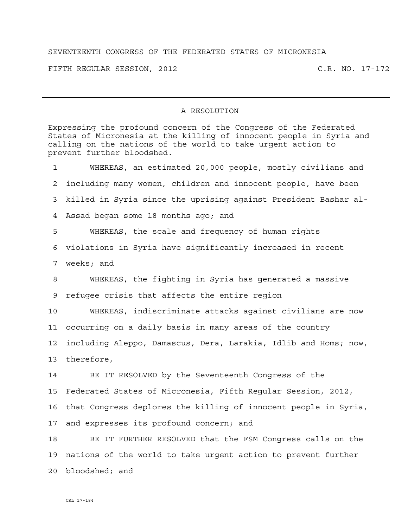## SEVENTEENTH CONGRESS OF THE FEDERATED STATES OF MICRONESIA

FIFTH REGULAR SESSION, 2012 C.R. NO. 17-172

## A RESOLUTION

Expressing the profound concern of the Congress of the Federated States of Micronesia at the killing of innocent people in Syria and calling on the nations of the world to take urgent action to prevent further bloodshed. 1 WHEREAS, an estimated 20,000 people, mostly civilians and 2 including many women, children and innocent people, have been 3 killed in Syria since the uprising against President Bashar al-4 Assad began some 18 months ago; and 5 WHEREAS, the scale and frequency of human rights 6 violations in Syria have significantly increased in recent 7 weeks; and 8 WHEREAS, the fighting in Syria has generated a massive 9 refugee crisis that affects the entire region 10 WHEREAS, indiscriminate attacks against civilians are now 11 occurring on a daily basis in many areas of the country 12 including Aleppo, Damascus, Dera, Larakia, Idlib and Homs; now, 13 therefore, 14 BE IT RESOLVED by the Seventeenth Congress of the 15 Federated States of Micronesia, Fifth Regular Session, 2012, 16 that Congress deplores the killing of innocent people in Syria, 17 and expresses its profound concern; and 18 BE IT FURTHER RESOLVED that the FSM Congress calls on the 19 nations of the world to take urgent action to prevent further 20 bloodshed; and